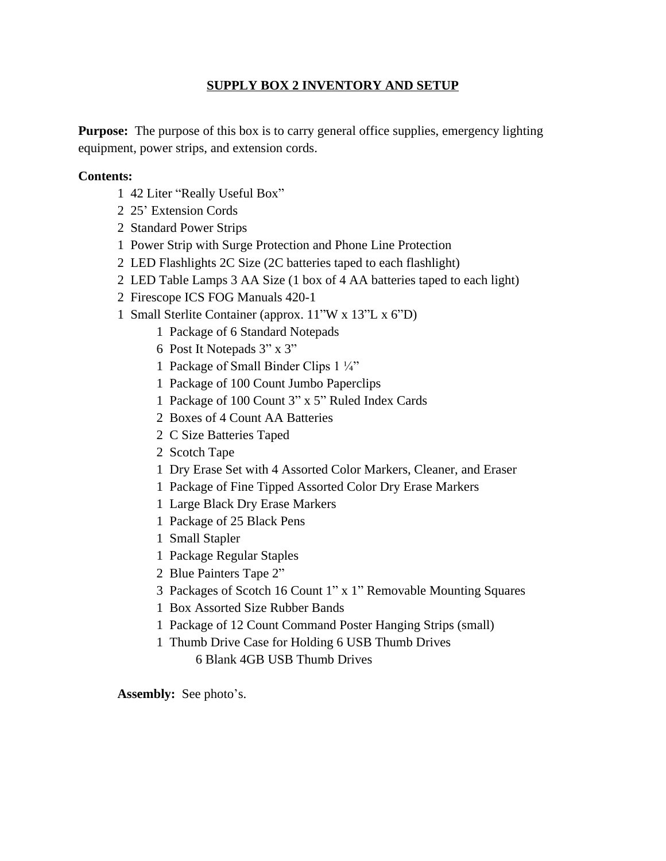## **SUPPLY BOX 2 INVENTORY AND SETUP**

**Purpose:** The purpose of this box is to carry general office supplies, emergency lighting equipment, power strips, and extension cords.

## **Contents:**

- 1 42 Liter "Really Useful Box"
- 2 25' Extension Cords
- 2 Standard Power Strips
- 1 Power Strip with Surge Protection and Phone Line Protection
- 2 LED Flashlights 2C Size (2C batteries taped to each flashlight)
- 2 LED Table Lamps 3 AA Size (1 box of 4 AA batteries taped to each light)
- 2 Firescope ICS FOG Manuals 420-1
- 1 Small Sterlite Container (approx. 11"W x 13"L x 6"D)
	- 1 Package of 6 Standard Notepads
	- 6 Post It Notepads 3" x 3"
	- 1 Package of Small Binder Clips 1 ¼"
	- 1 Package of 100 Count Jumbo Paperclips
	- 1 Package of 100 Count 3" x 5" Ruled Index Cards
	- 2 Boxes of 4 Count AA Batteries
	- 2 C Size Batteries Taped
	- 2 Scotch Tape
	- 1 Dry Erase Set with 4 Assorted Color Markers, Cleaner, and Eraser
	- 1 Package of Fine Tipped Assorted Color Dry Erase Markers
	- 1 Large Black Dry Erase Markers
	- 1 Package of 25 Black Pens
	- 1 Small Stapler
	- 1 Package Regular Staples
	- 2 Blue Painters Tape 2"
	- 3 Packages of Scotch 16 Count 1" x 1" Removable Mounting Squares
	- 1 Box Assorted Size Rubber Bands
	- 1 Package of 12 Count Command Poster Hanging Strips (small)
	- 1 Thumb Drive Case for Holding 6 USB Thumb Drives

6 Blank 4GB USB Thumb Drives

**Assembly:** See photo's.